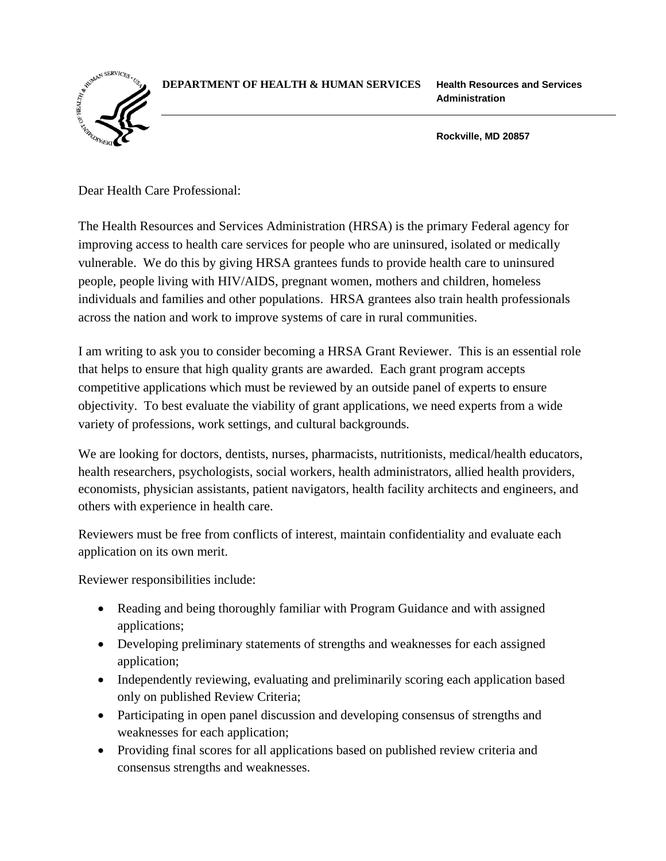## **DEPARTMENT OF HEALTH & HUMAN SERVICES Health Resources and Services**



**Administration** 

**Rockville, MD 20857** 

Dear Health Care Professional:

The Health Resources and Services Administration (HRSA) is the primary Federal agency for improving access to health care services for people who are uninsured, isolated or medically vulnerable. We do this by giving HRSA grantees funds to provide health care to uninsured people, people living with HIV/AIDS, pregnant women, mothers and children, homeless individuals and families and other populations. HRSA grantees also train health professionals across the nation and work to improve systems of care in rural communities.

I am writing to ask you to consider becoming a HRSA Grant Reviewer. This is an essential role that helps to ensure that high quality grants are awarded. Each grant program accepts competitive applications which must be reviewed by an outside panel of experts to ensure objectivity. To best evaluate the viability of grant applications, we need experts from a wide variety of professions, work settings, and cultural backgrounds.

We are looking for doctors, dentists, nurses, pharmacists, nutritionists, medical/health educators, health researchers, psychologists, social workers, health administrators, allied health providers, economists, physician assistants, patient navigators, health facility architects and engineers, and others with experience in health care.

Reviewers must be free from conflicts of interest, maintain confidentiality and evaluate each application on its own merit.

Reviewer responsibilities include:

- Reading and being thoroughly familiar with Program Guidance and with assigned applications;
- Developing preliminary statements of strengths and weaknesses for each assigned application;
- Independently reviewing, evaluating and preliminarily scoring each application based only on published Review Criteria;
- Participating in open panel discussion and developing consensus of strengths and weaknesses for each application;
- Providing final scores for all applications based on published review criteria and consensus strengths and weaknesses.